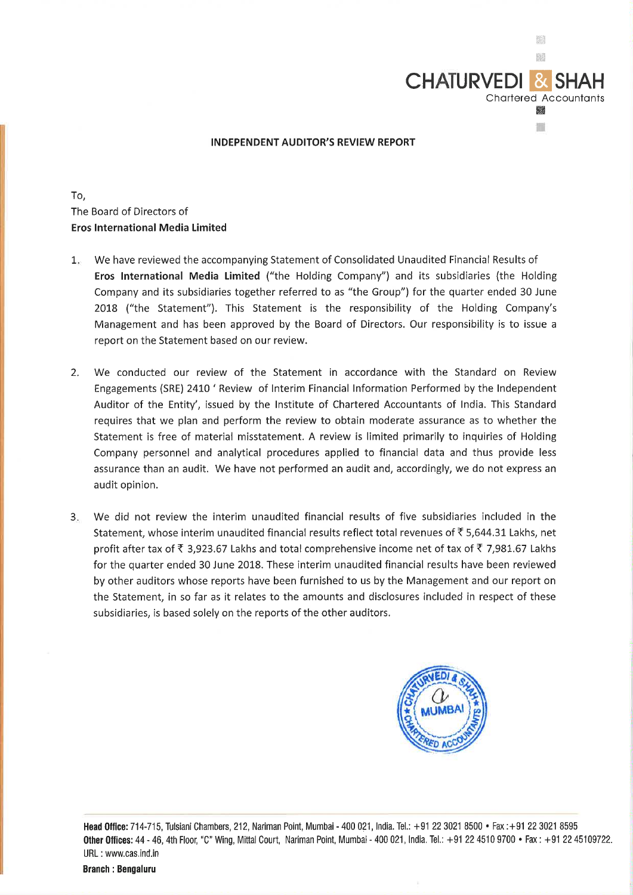

## **INDEPENDENT AUDITOR'S REVIEW REPORT**

To, The Board of Directors of **Eros International Media Limited** 

- 1. We have reviewed the accompanying Statement of Consolidated Unaudited Financial Results of **Eros International Media Limited** ("the Holding Company") and its subsidiaries (the Holding Company and its subsidiaries together referred to as "the Group") for the quarter ended 30 June 2018 ("the Statement"). This Statement is the responsibility of the Holding Company's Management and has been approved by the Board of Directors. Our responsibility is to issue a report on the Statement based on our review.
- 2. We conducted our review of the Statement in accordance with the Standard on Review Engagements (SRE) 2410 ' Review of Interim Financial Information Performed by the Independent Auditor of the Entity', issued by the Institute of Chartered Accountants of India. This Standard requires that we plan and perform the review to obtain moderate assurance as to whether the Statement is free of material misstatement. A review is limited primarily to inquiries of Holding Company personnel and analytical procedures applied to financial data and thus provide less assurance than an audit. We have not performed an audit and, accordingly, we do not express an audit opinion.
- 3. We did not review the interim unaudited financial results of five subsidiaries included in the Statement, whose interim unaudited financial results reflect total revenues of  $\overline{\tau}$  5,644.31 Lakhs, net profit after tax of  $\bar{\tau}$  3,923.67 Lakhs and total comprehensive income net of tax of  $\bar{\tau}$  7,981.67 Lakhs for the quarter ended 30 June 2018. These interim unaudited financial results have been reviewed by other auditors whose reports have been furnished to us by the Management and our report on the Statement, in so far as it relates to the amounts and disclosures included in respect of these subsidiaries, is based solely on the reports of the other auditors.



**Head Office:** 714-715, Tulsiani Chambers, 212, Nariman Point, Mumbai - 400 021, India. Tel.: +91223021 8500 • Fax :+91223021 8595 **Other Offices:** 44 - 46, 4th Floor, "C" Wing, Mittal Court, Nariman Point, Mumbai - 400 021, India. Tel.: +91 22 4510 9700 • Fax: +91 22 45109722. URL : www.cas.ind.in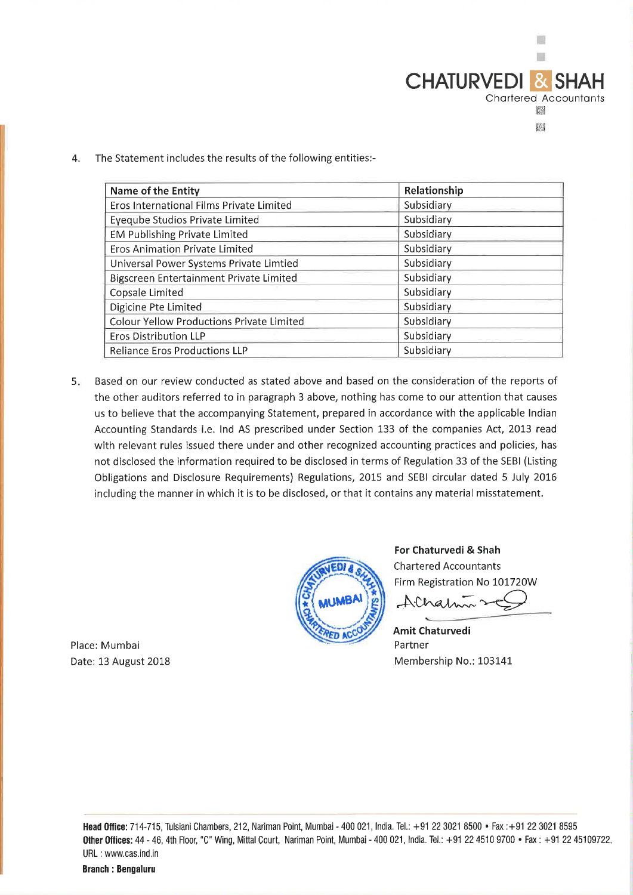

The Statement includes the results of the following entities:- $\overline{4}$ .

| <b>Name of the Entity</b>                        | Relationship |  |  |
|--------------------------------------------------|--------------|--|--|
| Eros International Films Private Limited         | Subsidiary   |  |  |
| <b>Eyeqube Studios Private Limited</b>           | Subsidiary   |  |  |
| <b>EM Publishing Private Limited</b>             | Subsidiary   |  |  |
| <b>Eros Animation Private Limited</b>            | Subsidiary   |  |  |
| Universal Power Systems Private Limtied          | Subsidiary   |  |  |
| Bigscreen Entertainment Private Limited          | Subsidiary   |  |  |
| Copsale Limited                                  | Subsidiary   |  |  |
| Digicine Pte Limited                             | Subsidiary   |  |  |
| <b>Colour Yellow Productions Private Limited</b> | Subsidiary   |  |  |
| <b>Eros Distribution LLP</b>                     | Subsidiary   |  |  |
| <b>Reliance Eros Productions LLP</b>             | Subsidiary   |  |  |

Based on our review conducted as stated above and based on the consideration of the reports of  $5<sub>ii</sub>$ the other auditors referred to in paragraph 3 above, nothing has come to our attention that causes us to believe that the accompanying Statement, prepared in accordance with the applicable Indian Accounting Standards i.e. Ind AS prescribed under Section 133 of the companies Act, 2013 read with relevant rules issued there under and other recognized accounting practices and policies, has not disclosed the information required to be disclosed in terms of Regulation 33 of the SEBI (Listing Obligations and Disclosure Requirements) Regulations, 2015 and SEBI circular dated 5 July 2016 including the manner in which it is to be disclosed, or that it contains any material misstatement.



For Chaturvedi & Shah **Chartered Accountants** Firm Registration No 101720W

Alham

**Amit Chaturvedi** Partner Membership No.: 103141

Place: Mumbai Date: 13 August 2018

> Head Office: 714-715, Tulsiani Chambers, 212, Nariman Point, Mumbai - 400 021, India. Tel.: +91 22 3021 8500 • Fax: +91 22 3021 8595 Other Offices: 44 - 46, 4th Floor, "C" Wing, Mittal Court, Nariman Point, Mumbai - 400 021, India. Tel.: +91 22 4510 9700 • Fax: +91 22 45109722. URL: www.cas.ind.in